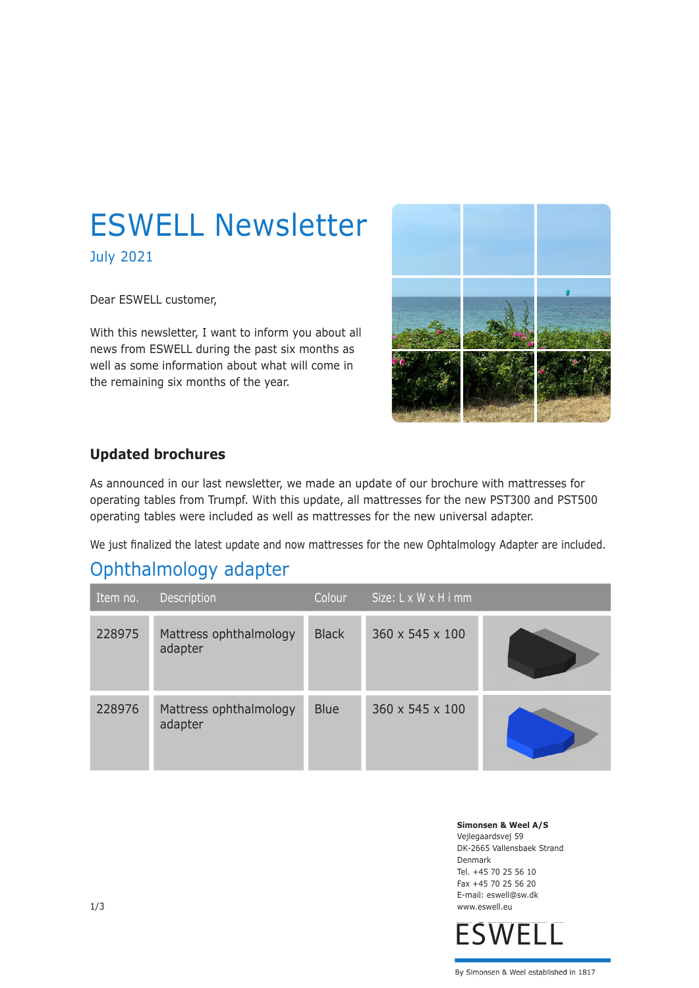# ESWELL Newsletter

July 2021

Dear ESWELL customer,

With this newsletter, I want to inform you about all news from ESWELL during the past six months as well as some information about what will come in the remaining six months of the year.



#### **Updated brochures**

As announced in our last newsletter, we made an update of our brochure with mattresses for operating tables from Trumpf. With this update, all mattresses for the new PST300 and PST500 operating tables were included as well as mattresses for the new universal adapter.

We just finalized the latest update and now mattresses for the new Ophtalmology Adapter are included.

## Ophthalmology adapter

| Item no. | Description                       | Colour       | Size: L x W x H i mm |  |
|----------|-----------------------------------|--------------|----------------------|--|
| 228975   | Mattress ophthalmology<br>adapter | <b>Black</b> | 360 x 545 x 100      |  |
| 228976   | Mattress ophthalmology<br>adapter | <b>Blue</b>  | 360 x 545 x 100      |  |

**Simonsen & Weel A/S** Vejlegaardsvej 59 DK-2665 Vallensbaek Strand Denmark Tel. +45 70 25 56 10 Fax +45 70 25 56 20 E-mail: eswell@sw.dk www.eswell.eu

**ESWELL**

By Simonsen & Weel established in 1817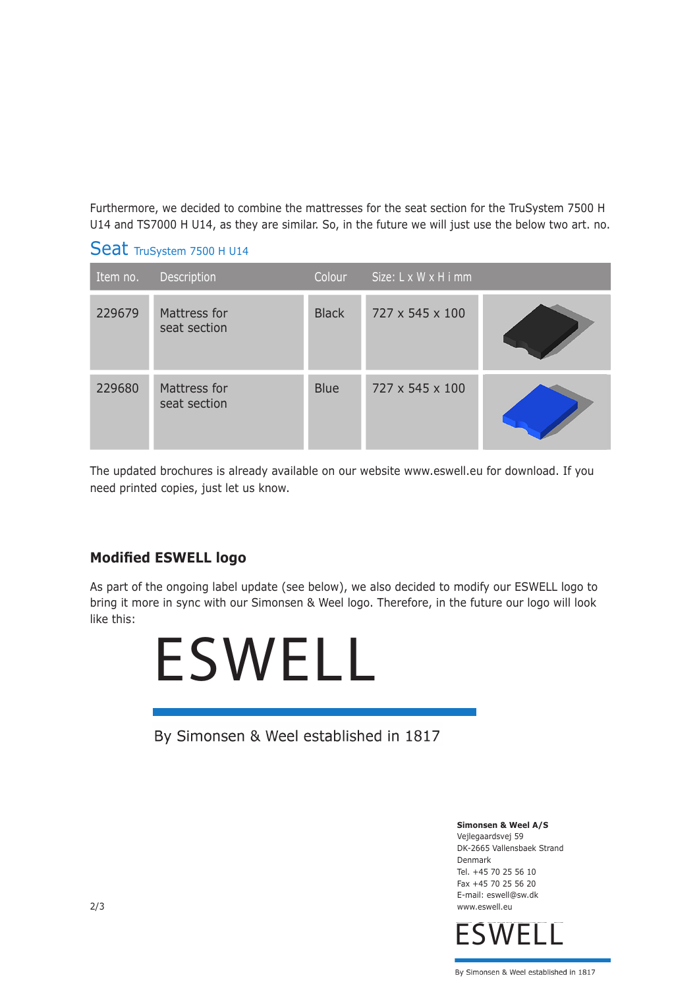Furthermore, we decided to combine the mattresses for the seat section for the TruSystem 7500 H U14 and TS7000 H U14, as they are similar. So, in the future we will just use the below two art. no.

#### Seat TruSystem 7500 H U14

| Item no. | Description                  | Colour       | Size: L x W x H i mm |  |
|----------|------------------------------|--------------|----------------------|--|
| 229679   | Mattress for<br>seat section | <b>Black</b> | 727 x 545 x 100      |  |
| 229680   | Mattress for<br>seat section | <b>Blue</b>  | 727 x 545 x 100      |  |

The updated brochures is already available on our website www.eswell.eu for download. If you need printed copies, just let us know.

#### **Modified ESWELL logo**

As part of the ongoing label update (see below), we also decided to modify our ESWELL logo to bring it more in sync with our Simonsen & Weel logo. Therefore, in the future our logo will look like this:



By Simonsen & Weel established in 1817

**Simonsen & Weel A/S** Vejlegaardsvej 59 DK-2665 Vallensbaek Strand Denmark Tel. +45 70 25 56 10 Fax +45 70 25 56 20 E-mail: eswell@sw.dk 2/3 www.eswell.eu



By Simonsen & Weel established in 1817